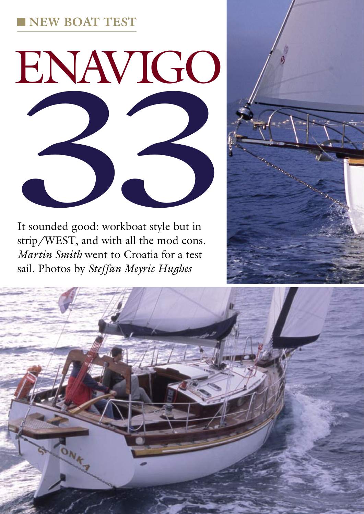# **NEW BOAT TEST**



It sounded good: workboat style but in strip/WEST, and with all the mod cons. *Martin Smith* went to Croatia for a test sail. Photos by *Steffan Meyric Hughes*



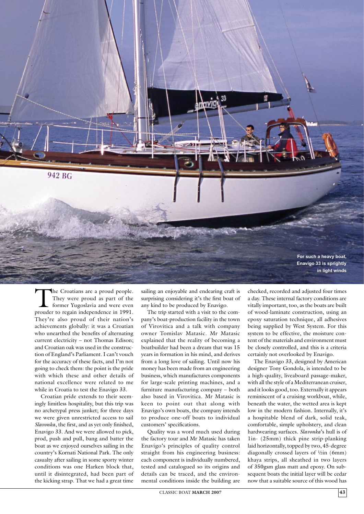

The Croatians are a proud people. They were proud as part of the former Yugoslavia and were even prouder to regain independence in 1991. They're also proud of their nation's achievements globally: it was a Croatian who unearthed the benefits of alternating current electricity – not Thomas Edison; and Croatian oak was used in the construction of England's Parliament. I can't vouch for the accuracy of these facts, and I'm not going to check them: the point is the pride with which these and other details of national excellence were related to me while in Croatia to test the Enavigo 33.

Croatian pride extends to their seemingly limitless hospitality, but this trip was no archetypal press junket; for three days we were given unrestricted access to sail *Slavonka*, the first, and as yet only finished, Enavigo 33. And we were allowed to pick, prod, push and pull, bang and batter the boat as we enjoyed ourselves sailing in the country's Kornati National Park. The only casualty after sailing in some sporty winter conditions was one Harken block that, until it disintegrated, had been part of the kicking strap. That we had a great time

sailing an enjoyable and endearing craft is surprising considering it's the first boat of any kind to be produced by Enavigo.

The trip started with a visit to the company's boat-production facility in the town of Virovitica and a talk with company owner Tomislav Matasic. Mr Matasic explained that the reality of becoming a boatbuilder had been a dream that was 15 years in formation in his mind, and derives from a long love of sailing. Until now his money has been made from an engineering business, which manufactures components for large-scale printing machines, and a furniture manufacturing company – both also based in Virovitica. Mr Matasic is keen to point out that along with Enavigo's own boats, the company intends to produce one-off boats to individual customers' specifications.

Quality was a word much used during the factory tour and Mr Matasic has taken Enavigo's principles of quality control straight from his engineering business: each component is individually numbered, tested and catalogued so its origins and details can be traced, and the environmental conditions inside the building are checked, recorded and adjusted four times a day. These internal factory conditions are vitally important, too, as the boats are built of wood-laminate construction, using an epoxy saturation technique, all adhesives being supplied by West System. For this system to be effective, the moisture content of the materials and environment must be closely controlled, and this is a criteria certainly not overlooked by Enavigo.

The Enavigo 33, designed by American designer Tony Gondola, is intended to be a high-quality, liveaboard passage-maker, with all the style of a Mediterranean cruiser, and it looks good, too. Externally it appears reminiscent of a cruising workboat, while, beneath the water, the wetted area is kept low in the modern fashion. Internally, it's a hospitable blend of dark, solid teak, comfortable, simple upholstery, and clean hardwearing surfaces. *Slavonka*'s hull is of 1in- (25mm) thick pine strip-planking laid horizontally, topped by two, 45-degree diagonally crossed layers of ½in (6mm) khaya strips, all sheathed in two layers of 350gsm glass matt and epoxy. On subsequent boats the initial layer will be cedar now that a suitable source of this wood has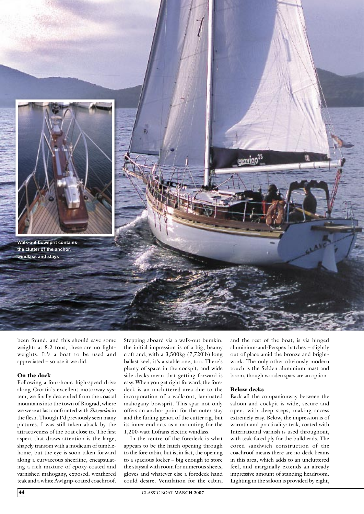

been found, and this should save some weight: at 8.2 tons, these are no lightweights. It's a boat to be used and appreciated – so use it we did.

#### On the dock

Following a four-hour, high-speed drive along Croatia's excellent motorway system, we finally descended from the coastal mountains into the town of Biograd, where we were at last confronted with *Slavonka* in the flesh. Though I'd previously seen many pictures, I was still taken aback by the attractiveness of the boat close to. The first aspect that draws attention is the large, shapely transom with a modicum of tumblehome, but the eye is soon taken forward along a curvaceous sheerline, encapsulating a rich mixture of epoxy-coated and varnished mahogany, exposed, weathered teak and a white Awlgrip-coated coachroof. Stepping aboard via a walk-out bumkin, the initial impression is of a big, beamy craft and, with a 3,500kg (7,720lb) long ballast keel, it's a stable one, too. There's plenty of space in the cockpit, and wide side decks mean that getting forward is easy. When you get right forward, the foredeck is an uncluttered area due to the incorporation of a walk-out, laminated mahogany bowsprit. This spar not only offers an anchor point for the outer stay and the furling genoa of the cutter rig, but its inner end acts as a mounting for the 1,200-watt Lofrans electric windlass.

In the centre of the foredeck is what appears to be the hatch opening through to the fore cabin, but is, in fact, the opening to a spacious locker – big enough to store the staysail with room for numerous sheets, gloves and whatever else a foredeck hand could desire. Ventilation for the cabin,

and the rest of the boat, is via hinged aluminium-and-Perspex hatches – slightly out of place amid the bronze and brightwork. The only other obviously modern touch is the Selden aluminium mast and boom, though wooden spars are an option.

### Below decks

Back aft the companionway between the saloon and cockpit is wide, secure and open, with deep steps, making access extremely easy. Below, the impression is of warmth and practicality: teak, coated with International varnish is used throughout, with teak-faced ply for the bulkheads. The cored sandwich construction of the coachroof means there are no deck beams in this area, which adds to an uncluttered feel, and marginally extends an already impressive amount of standing headroom. Lighting in the saloon is provided by eight,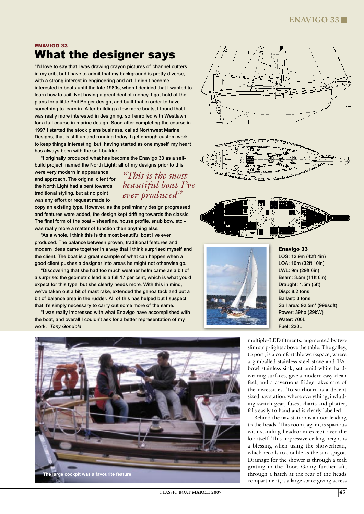### ENAVIGO 33 What the designer says

"I'd love to say that I was drawing crayon pictures of channel cutters in my crib, but I have to admit that my background is pretty diverse, with a strong interest in engineering and art. I didn't become interested in boats until the late 1980s, when I decided that I wanted to learn how to sail. Not having a great deal of money, I got hold of the plans for a little Phil Bolger design, and built that in order to have something to learn in. After building a few more boats, I found that I was really more interested in designing, so I enrolled with Westlawn for a full course in marine design. Soon after completing the course in 1997 I started the stock plans business, called Northwest Marine Designs, that is still up and running today. I get enough custom work to keep things interesting, but, having started as one myself, my heart has always been with the self-builder.

"I originally produced what has become the Enavigo 33 as a selfbuild project, named the North Light; all of my designs prior to this

*"This is the most* 

*ever produced"*

were very modern in appearance and approach. The original client for the North Light had a bent towards traditional styling, but at no point was any effort or request made to

copy an existing type. However, as the preliminary design progressed and features were added, the design kept drifting towards the classic. The final form of the boat – sheerline, house profile, snub bow, etc – was really more a matter of function then anything else.

"As a whole, I think this is the most beautiful boat I've ever produced. The balance between proven, traditional features and modern ideas came together in a way that I think surprised myself and the client. The boat is a great example of what can happen when a good client pushes a designer into areas he might not otherwise go.

"Discovering that she had too much weather helm came as a bit of a surprise: the geometric lead is a full 17 per cent, which is what you'd expect for this type, but she clearly needs more. With this in mind, we've taken out a bit of mast rake, extended the genoa tack and put a bit of balance area in the rudder. All of this has helped but I suspect that it's simply necessary to carry out some more of the same.

"I was really impressed with what Enavigo have accomplished with the boat, and overall I couldn't ask for a better representation of my work." *Tony Gondola*











Enavigo 33

LOS: 12.9m (42ft 4in) LOA: 10m (32ft 10in) LWL: 9m (29ft 6in) Beam: 3.5m (11ft 6in) Draught: 1.5m (5ft) Disp: 8.2 tons Ballast: 3 tons Sail area: 92.5m² (996sqft) Power: 39hp (29kW) Water: 700L Fuel: 220L

multiple-LED fitments, augmented by two slim strip-lights above the table. The galley, to port, is a comfortable workspace, where a gimballed stainless-steel stove and 1½ bowl stainless sink, set amid white hardwearing surfaces, give a modern easy-clean feel, and a cavernous fridge takes care of the necessities. To starboard is a decent sized nav station, where everything, including switch gear, fuses, charts and plotter, falls easily to hand and is clearly labelled.

Behind the nav station is a door leading to the heads. This room, again, is spacious with standing headroom except over the loo itself. This impressive ceiling height is a blessing when using the showerhead, which recoils to double as the sink spigot. Drainage for the shower is through a teak grating in the floor. Going further aft, through a hatch at the rear of the heads compartment, is a large space giving access

CLASSIC BOAT **MARCH 2007 45**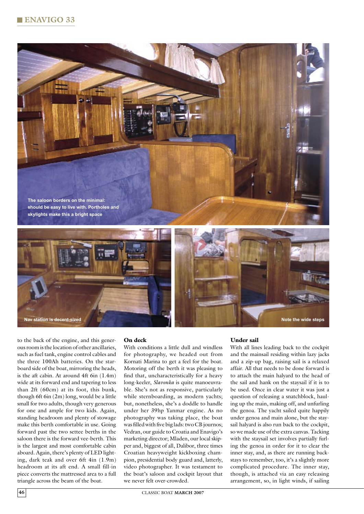





to the back of the engine, and this generous room is the location of other ancillaries, such as fuel tank, engine control cables and the three 100Ah batteries. On the starboard side of the boat, mirroring the heads, is the aft cabin. At around 4ft 6in (1.4m) wide at its forward end and tapering to less than 2ft (60cm) at its foot, this bunk, though 6ft 6in (2m) long, would be a little small for two adults, though very generous for one and ample for two kids. Again, standing headroom and plenty of stowage make this berth comfortable in use. Going forward past the two settee berths in the saloon there is the forward vee-berth. This is the largest and most comfortable cabin aboard. Again, there's plenty of LED lighting, dark teak and over 6ft 4in (1.9m) headroom at its aft end. A small fill-in piece converts the mattressed area to a full triangle across the beam of the boat.

### On deck

With conditions a little dull and windless for photography, we headed out from Kornati Marina to get a feel for the boat. Motoring off the berth it was pleasing to find that, uncharacteristically for a heavy long-keeler, *Slavonka* is quite manoeuvrable. She's not as responsive, particularly while sternboarding, as modern yachts; but, nonetheless, she's a doddle to handle under her 39hp Yanmar engine. As no photography was taking place, the boat was filled with five big lads: two CB journos; Vedran, our guide to Croatia and Enavigo's marketing director; Mladen, our local skipper and, biggest of all, Dalibor, three times Croatian heavyweight kickboxing champion, presidential body guard and, latterly, video photographer. It was testament to the boat's saloon and cockpit layout that we never felt over-crowded.

### Under sail

With all lines leading back to the cockpit and the mainsail residing within lazy jacks and a zip-up bag, raising sail is a relaxed affair. All that needs to be done forward is to attach the main halyard to the head of the sail and hank on the staysail if it is to be used. Once in clear water it was just a question of releasing a snatchblock, hauling up the main, making off, and unfurling the genoa. The yacht sailed quite happily under genoa and main alone, but the staysail halyard is also run back to the cockpit, so we made use of the extra canvas. Tacking with the staysail set involves partially furling the genoa in order for it to clear the inner stay, and, as there are running backstays to remember, too, it's a slightly more complicated procedure. The inner stay, though, is attached via an easy releasing arrangement, so, in light winds, if sailing